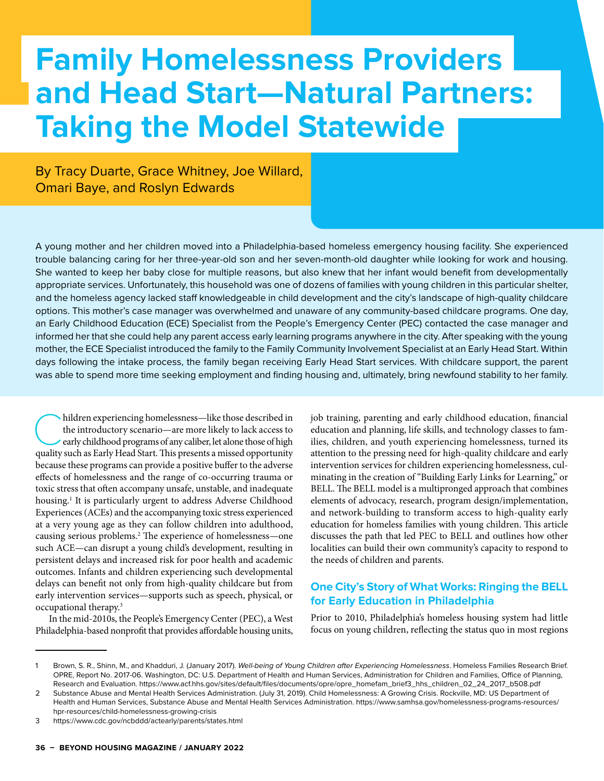# **Family Homelessness Providers and Head Start—Natural Partners: Taking the Model Statewide**

By Tracy Duarte, Grace Whitney, Joe Willard, Omari Baye, and Roslyn Edwards

A young mother and her children moved into a Philadelphia-based homeless emergency housing facility. She experienced trouble balancing caring for her three-year-old son and her seven-month-old daughter while looking for work and housing. She wanted to keep her baby close for multiple reasons, but also knew that her infant would benefit from developmentally appropriate services. Unfortunately, this household was one of dozens of families with young children in this particular shelter, and the homeless agency lacked staff knowledgeable in child development and the city's landscape of high-quality childcare options. This mother's case manager was overwhelmed and unaware of any community-based childcare programs. One day, an Early Childhood Education (ECE) Specialist from the People's Emergency Center (PEC) contacted the case manager and informed her that she could help any parent access early learning programs anywhere in the city. After speaking with the young mother, the ECE Specialist introduced the family to the Family Community Involvement Specialist at an Early Head Start. Within days following the intake process, the family began receiving Early Head Start services. With childcare support, the parent was able to spend more time seeking employment and finding housing and, ultimately, bring newfound stability to her family.

hildren experiencing homelessness—like those described in the introductory scenario—are more likely to lack access to early childhood programs of any caliber, let alone those of high quality such as Early Head Start. This presents a missed opportunity because these programs can provide a positive buffer to the adverse effects of homelessness and the range of co-occurring trauma or toxic stress that often accompany unsafe, unstable, and inadequate housing.1 It is particularly urgent to address Adverse Childhood Experiences (ACEs) and the accompanying toxic stress experienced at a very young age as they can follow children into adulthood, causing serious problems.2 The experience of homelessness—one such ACE—can disrupt a young child's development, resulting in persistent delays and increased risk for poor health and academic outcomes. Infants and children experiencing such developmental delays can benefit not only from high-quality childcare but from early intervention services—supports such as speech, physical, or occupational therapy.3

In the mid-2010s, the People's Emergency Center (PEC), a West Philadelphia-based nonprofit that provides affordable housing units,

job training, parenting and early childhood education, financial education and planning, life skills, and technology classes to families, children, and youth experiencing homelessness, turned its attention to the pressing need for high-quality childcare and early intervention services for children experiencing homelessness, culminating in the creation of "Building Early Links for Learning," or BELL. The BELL model is a multipronged approach that combines elements of advocacy, research, program design/implementation, and network-building to transform access to high-quality early education for homeless families with young children. This article discusses the path that led PEC to BELL and outlines how other localities can build their own community's capacity to respond to the needs of children and parents.

## **One City's Story of What Works: Ringing the BELL for Early Education in Philadelphia**

Prior to 2010, Philadelphia's homeless housing system had little focus on young children, reflecting the status quo in most regions

Brown, S. R., Shinn, M., and Khadduri, J. (January 2017). Well-being of Young Children after Experiencing Homelessness. Homeless Families Research Brief. OPRE, Report No. 2017-06. Washington, DC: U.S. Department of Health and Human Services, Administration for Children and Families, Office of Planning, Research and Evaluation. https://www.acf.hhs.gov/sites/default/files/documents/opre/opre\_homefam\_brief3\_hhs\_children\_02\_24\_2017\_b508.pdf

<sup>2</sup> Substance Abuse and Mental Health Services Administration. (July 31, 2019). Child Homelessness: A Growing Crisis. Rockville, MD: US Department of Health and Human Services, Substance Abuse and Mental Health Services Administration. https://www.samhsa.gov/homelessness-programs-resources/ hpr-resources/child-homelessness-growing-crisis

<sup>3</sup> https://www.cdc.gov/ncbddd/actearly/parents/states.html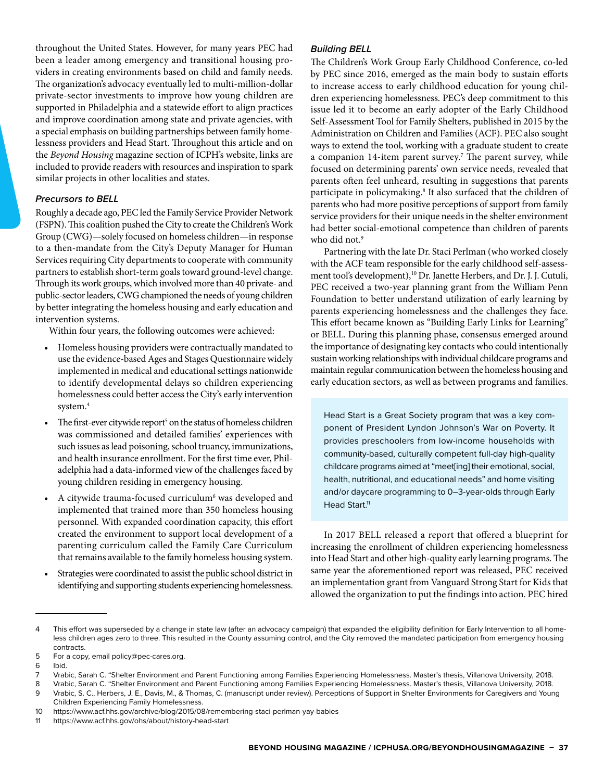throughout the United States. However, for many years PEC had been a leader among emergency and transitional housing providers in creating environments based on child and family needs. The organization's advocacy eventually led to multi-million-dollar private-sector investments to improve how young children are supported in Philadelphia and a statewide effort to align practices and improve coordination among state and private agencies, with a special emphasis on building partnerships between family homelessness providers and Head Start. Throughout this article and on the *Beyond Housing* magazine section of ICPH's website, links are included to provide readers with resources and inspiration to spark similar projects in other localities and states.

#### *Precursors to BELL*

Roughly a decade ago, PEC led the Family Service Provider Network (FSPN). This coalition pushed the City to create the Children's Work Group (CWG)—solely focused on homeless children—in response to a then-mandate from the City's Deputy Manager for Human Services requiring City departments to cooperate with community partners to establish short-term goals toward ground-level change. Through its work groups, which involved more than 40 private- and public-sector leaders, CWG championed the needs of young children by better integrating the homeless housing and early education and intervention systems.

Within four years, the following outcomes were achieved:

- Homeless housing providers were contractually mandated to use the evidence-based Ages and Stages Questionnaire widely implemented in medical and educational settings nationwide to identify developmental delays so children experiencing homelessness could better access the City's early intervention system.4
- $\bullet$  The first-ever citywide report<sup>5</sup> on the status of homeless children was commissioned and detailed families' experiences with such issues as lead poisoning, school truancy, immunizations, and health insurance enrollment. For the first time ever, Philadelphia had a data-informed view of the challenges faced by young children residing in emergency housing.
- A citywide trauma-focused curriculum<sup>6</sup> was developed and implemented that trained more than 350 homeless housing personnel. With expanded coordination capacity, this effort created the environment to support local development of a parenting curriculum called the Family Care Curriculum that remains available to the family homeless housing system.
- Strategies were coordinated to assist the public school district in identifying and supporting students experiencing homelessness.

#### *Building BELL*

The Children's Work Group Early Childhood Conference, co-led by PEC since 2016, emerged as the main body to sustain efforts to increase access to early childhood education for young children experiencing homelessness. PEC's deep commitment to this issue led it to become an early adopter of the Early Childhood Self-Assessment Tool for Family Shelters, published in 2015 by the Administration on Children and Families (ACF). PEC also sought ways to extend the tool, working with a graduate student to create a companion 14-item parent survey.7 The parent survey, while focused on determining parents' own service needs, revealed that parents often feel unheard, resulting in suggestions that parents participate in policymaking.8 It also surfaced that the children of parents who had more positive perceptions of support from family service providers for their unique needs in the shelter environment had better social-emotional competence than children of parents who did not.9

Partnering with the late Dr. Staci Perlman (who worked closely with the ACF team responsible for the early childhood self-assessment tool's development),<sup>10</sup> Dr. Janette Herbers, and Dr. J. J. Cutuli, PEC received a two-year planning grant from the William Penn Foundation to better understand utilization of early learning by parents experiencing homelessness and the challenges they face. This effort became known as "Building Early Links for Learning" or BELL. During this planning phase, consensus emerged around the importance of designating key contacts who could intentionally sustain working relationships with individual childcare programs and maintain regular communication between the homeless housing and early education sectors, as well as between programs and families.

Head Start is a Great Society program that was a key component of President Lyndon Johnson's War on Poverty. It provides preschoolers from low-income households with community-based, culturally competent full-day high-quality childcare programs aimed at "meet[ing] their emotional, social, health, nutritional, and educational needs" and home visiting and/or daycare programming to 0–3-year-olds through Early Head Start.<sup>11</sup>

In 2017 BELL released a report that offered a blueprint for increasing the enrollment of children experiencing homelessness into Head Start and other high-quality early learning programs. The same year the aforementioned report was released, PEC received an implementation grant from Vanguard Strong Start for Kids that allowed the organization to put the findings into action. PEC hired

<sup>4</sup> This effort was superseded by a change in state law (after an advocacy campaign) that expanded the eligibility definition for Early Intervention to all homeless children ages zero to three. This resulted in the County assuming control, and the City removed the mandated participation from emergency housing contracts.

<sup>5</sup> For a copy, email policy@pec-cares.org.

<sup>6</sup> Ibid.

<sup>7</sup> Vrabic, Sarah C. "Shelter Environment and Parent Functioning among Families Experiencing Homelessness. Master's thesis, Villanova University, 2018.

<sup>8</sup> Vrabic, Sarah C. "Shelter Environment and Parent Functioning among Families Experiencing Homelessness. Master's thesis, Villanova University, 2018.

<sup>9</sup> Vrabic, S. C., Herbers, J. E., Davis, M., & Thomas, C. (manuscript under review). Perceptions of Support in Shelter Environments for Caregivers and Young

Children Experiencing Family Homelessness.

<sup>10</sup> https://www.acf.hhs.gov/archive/blog/2015/08/remembering-staci-perlman-yay-babies

<sup>11</sup> https://www.acf.hhs.gov/ohs/about/history-head-start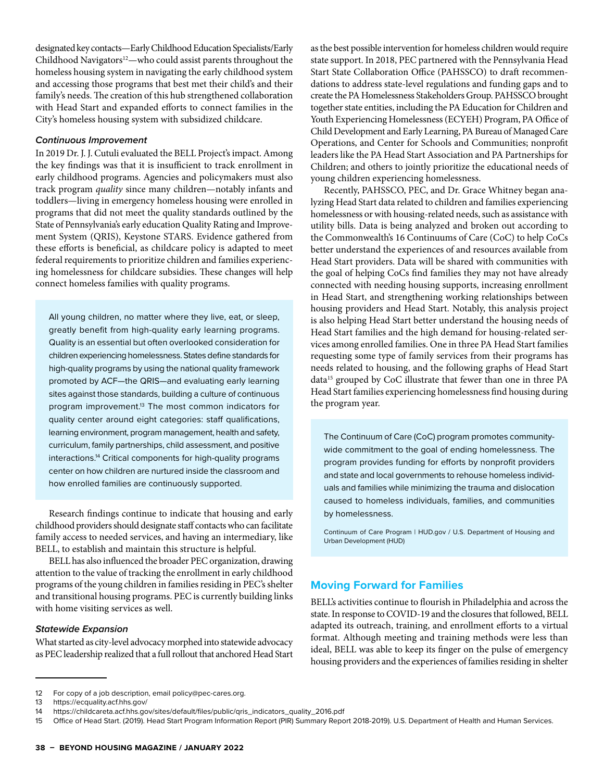designated key contacts—Early Childhood Education Specialists/Early Childhood Navigators<sup>12</sup>—who could assist parents throughout the homeless housing system in navigating the early childhood system and accessing those programs that best met their child's and their family's needs. The creation of this hub strengthened collaboration with Head Start and expanded efforts to connect families in the City's homeless housing system with subsidized childcare.

#### *Continuous Improvement*

In 2019 Dr. J. J. Cutuli evaluated the BELL Project's impact. Among the key findings was that it is insufficient to track enrollment in early childhood programs. Agencies and policymakers must also track program *quality* since many children—notably infants and toddlers—living in emergency homeless housing were enrolled in programs that did not meet the quality standards outlined by the State of Pennsylvania's early education Quality Rating and Improvement System (QRIS), Keystone STARS. Evidence gathered from these efforts is beneficial, as childcare policy is adapted to meet federal requirements to prioritize children and families experiencing homelessness for childcare subsidies. These changes will help connect homeless families with quality programs.

All young children, no matter where they live, eat, or sleep, greatly benefit from high-quality early learning programs. Quality is an essential but often overlooked consideration for children experiencing homelessness. States define standards for high-quality programs by using the national quality framework promoted by ACF—the QRIS—and evaluating early learning sites against those standards, building a culture of continuous program improvement.<sup>13</sup> The most common indicators for quality center around eight categories: staff qualifications, learning environment, program management, health and safety, curriculum, family partnerships, child assessment, and positive interactions.14 Critical components for high-quality programs center on how children are nurtured inside the classroom and how enrolled families are continuously supported.

Research findings continue to indicate that housing and early childhood providers should designate staff contacts who can facilitate family access to needed services, and having an intermediary, like BELL, to establish and maintain this structure is helpful.

BELL has also influenced the broader PEC organization, drawing attention to the value of tracking the enrollment in early childhood programs of the young children in families residing in PEC's shelter and transitional housing programs. PEC is currently building links with home visiting services as well.

#### *Statewide Expansion*

What started as city-level advocacy morphed into statewide advocacy as PEC leadership realized that a full rollout that anchored Head Start as the best possible intervention for homeless children would require state support. In 2018, PEC partnered with the Pennsylvania Head Start State Collaboration Office (PAHSSCO) to draft recommendations to address state-level regulations and funding gaps and to create the PA Homelessness Stakeholders Group. PAHSSCO brought together state entities, including the PA Education for Children and Youth Experiencing Homelessness (ECYEH) Program, PA Office of Child Development and Early Learning, PA Bureau of Managed Care Operations, and Center for Schools and Communities; nonprofit leaders like the PA Head Start Association and PA Partnerships for Children; and others to jointly prioritize the educational needs of young children experiencing homelessness.

Recently, PAHSSCO, PEC, and Dr. Grace Whitney began analyzing Head Start data related to children and families experiencing homelessness or with housing-related needs, such as assistance with utility bills. Data is being analyzed and broken out according to the Commonwealth's 16 Continuums of Care (CoC) to help CoCs better understand the experiences of and resources available from Head Start providers. Data will be shared with communities with the goal of helping CoCs find families they may not have already connected with needing housing supports, increasing enrollment in Head Start, and strengthening working relationships between housing providers and Head Start. Notably, this analysis project is also helping Head Start better understand the housing needs of Head Start families and the high demand for housing-related services among enrolled families. One in three PA Head Start families requesting some type of family services from their programs has needs related to housing, and the following graphs of Head Start data<sup>15</sup> grouped by CoC illustrate that fewer than one in three PA Head Start families experiencing homelessness find housing during the program year.

The Continuum of Care (CoC) program promotes communitywide commitment to the goal of ending homelessness. The program provides funding for efforts by nonprofit providers and state and local governments to rehouse homeless individuals and families while minimizing the trauma and dislocation caused to homeless individuals, families, and communities by homelessness.

Continuum of Care Program | HUD.gov / U.S. Department of Housing and Urban Development (HUD)

#### **Moving Forward for Families**

BELL's activities continue to flourish in Philadelphia and across the state. In response to COVID-19 and the closures that followed, BELL adapted its outreach, training, and enrollment efforts to a virtual format. Although meeting and training methods were less than ideal, BELL was able to keep its finger on the pulse of emergency housing providers and the experiences of families residing in shelter

<sup>12</sup> For copy of a job description, email policy@pec-cares.org.

<sup>13</sup> https://ecquality.acf.hhs.gov/

<sup>14</sup> https://childcareta.acf.hhs.gov/sites/default/files/public/qris\_indicators\_quality\_2016.pdf

<sup>15</sup> Office of Head Start. (2019). Head Start Program Information Report (PIR) Summary Report 2018-2019). U.S. Department of Health and Human Services.